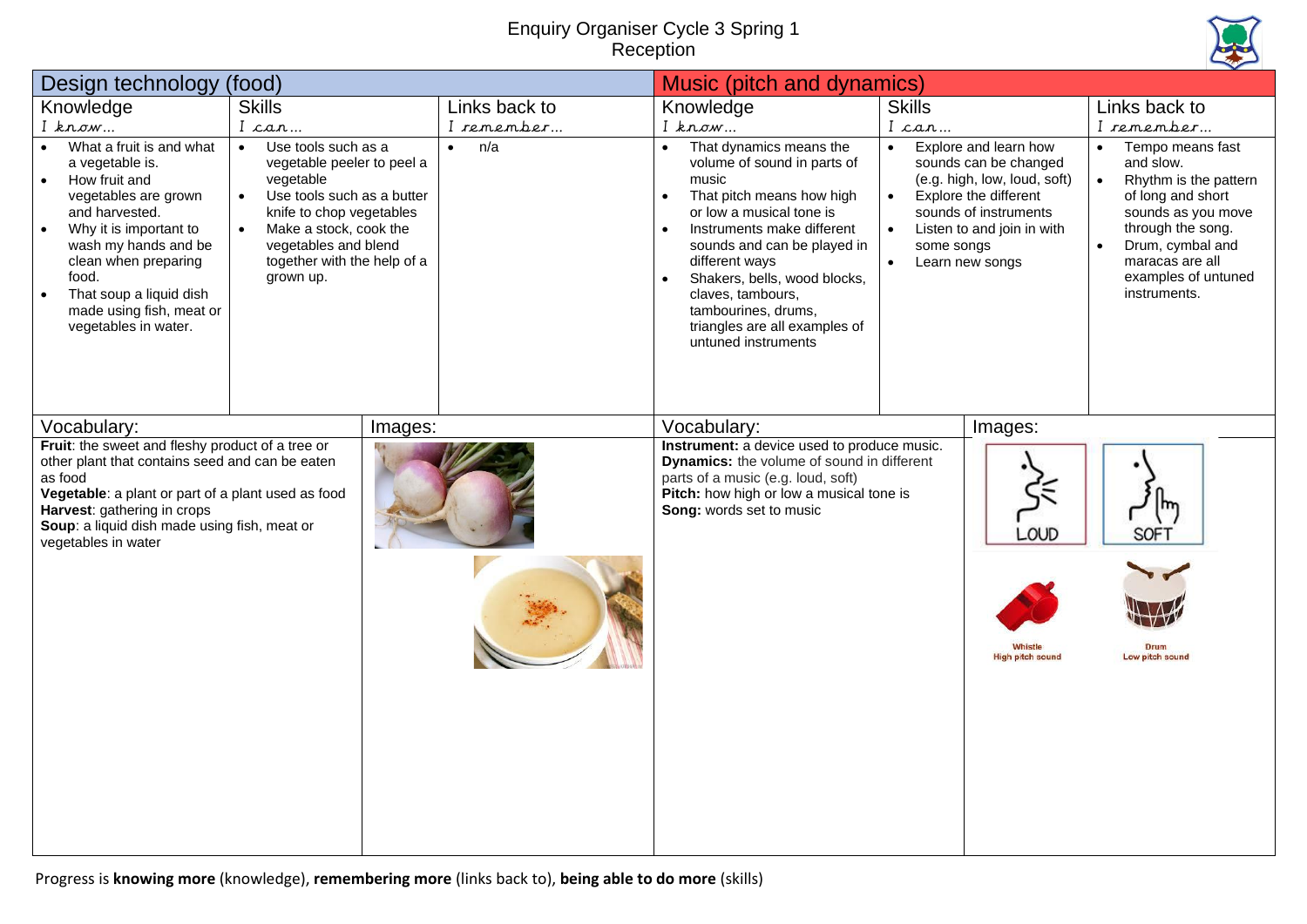## Enquiry Organiser Cycle 3 Spring 1 **Reception**



| Design technology<br>(food)                                                                                                                                                                                                                                                                        |                                                                                                                                                                                                                                                               | Music (pitch and dynamics) |                  |                                                                                                                                                                                                                                                                                                                                                          |                                      |                                                                                                                                                                                   |                                                                                                                                                                                                                                |
|----------------------------------------------------------------------------------------------------------------------------------------------------------------------------------------------------------------------------------------------------------------------------------------------------|---------------------------------------------------------------------------------------------------------------------------------------------------------------------------------------------------------------------------------------------------------------|----------------------------|------------------|----------------------------------------------------------------------------------------------------------------------------------------------------------------------------------------------------------------------------------------------------------------------------------------------------------------------------------------------------------|--------------------------------------|-----------------------------------------------------------------------------------------------------------------------------------------------------------------------------------|--------------------------------------------------------------------------------------------------------------------------------------------------------------------------------------------------------------------------------|
| Knowledge                                                                                                                                                                                                                                                                                          | <b>Skills</b>                                                                                                                                                                                                                                                 |                            | Links back to    | Knowledge                                                                                                                                                                                                                                                                                                                                                | <b>Skills</b>                        |                                                                                                                                                                                   | Links back to                                                                                                                                                                                                                  |
| $I$ know                                                                                                                                                                                                                                                                                           | I can                                                                                                                                                                                                                                                         |                            | I remember       | I know                                                                                                                                                                                                                                                                                                                                                   | I can                                |                                                                                                                                                                                   | I remember                                                                                                                                                                                                                     |
| What a fruit is and what<br>a vegetable is.<br>How fruit and<br>vegetables are grown<br>and harvested.<br>Why it is important to<br>$\bullet$<br>wash my hands and be<br>clean when preparing<br>food.<br>That soup a liquid dish<br>$\bullet$<br>made using fish, meat or<br>vegetables in water. | Use tools such as a<br>$\bullet$<br>vegetable peeler to peel a<br>vegetable<br>Use tools such as a butter<br>$\bullet$<br>knife to chop vegetables<br>Make a stock, cook the<br>$\bullet$<br>vegetables and blend<br>together with the help of a<br>grown up. |                            | n/a<br>$\bullet$ | That dynamics means the<br>$\bullet$<br>volume of sound in parts of<br>music<br>That pitch means how high<br>or low a musical tone is<br>Instruments make different<br>sounds and can be played in<br>different ways<br>Shakers, bells, wood blocks,<br>claves, tambours,<br>tambourines, drums,<br>triangles are all examples of<br>untuned instruments | $\bullet$<br>$\bullet$<br>some songs | Explore and learn how<br>sounds can be changed<br>(e.g. high, low, loud, soft)<br>Explore the different<br>sounds of instruments<br>Listen to and join in with<br>Learn new songs | Tempo means fast<br>and slow.<br>Rhythm is the pattern<br>$\bullet$<br>of long and short<br>sounds as you move<br>through the song.<br>Drum, cymbal and<br>$\bullet$<br>maracas are all<br>examples of untuned<br>instruments. |
| Vocabulary:<br>Images:                                                                                                                                                                                                                                                                             |                                                                                                                                                                                                                                                               |                            |                  | Vocabulary:<br>Images:                                                                                                                                                                                                                                                                                                                                   |                                      |                                                                                                                                                                                   |                                                                                                                                                                                                                                |
| Fruit: the sweet and fleshy product of a tree or<br>other plant that contains seed and can be eaten<br>as food<br>Vegetable: a plant or part of a plant used as food<br>Harvest: gathering in crops<br>Soup: a liquid dish made using fish, meat or<br>vegetables in water                         |                                                                                                                                                                                                                                                               |                            |                  | Instrument: a device used to produce music.<br><b>Dynamics:</b> the volume of sound in different<br>parts of a music (e.g. loud, soft)<br>Pitch: how high or low a musical tone is<br>Song: words set to music                                                                                                                                           |                                      | LOUD<br><b>High pitch sound</b>                                                                                                                                                   | m<br><b>SOFT</b><br>Drum<br>Low pitch sound                                                                                                                                                                                    |